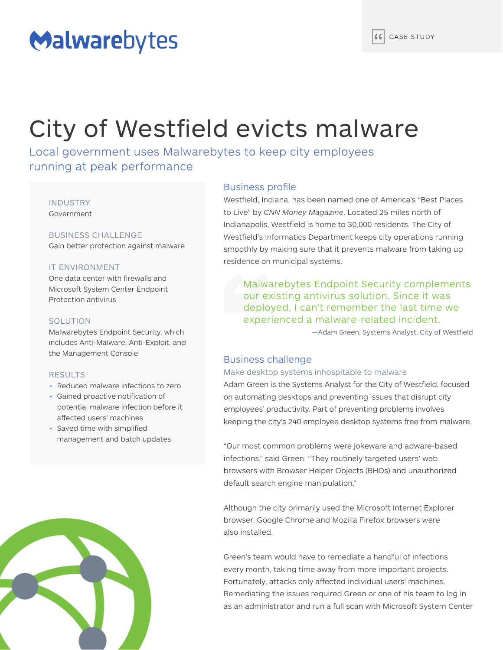# Malwarebytes

# City of Westfield evicts malware

Local government uses Malwarebytes to keep city employees running at peak performance

## INDUSTRY

Government

## BUSINESS CHALLENGE

Gain better protection against malware

## IT ENVIRONMENT

One data center with firewalls and Microsoft System Center Endpoint Protection antivirus

## SOLUTION

Malwarebytes Endpoint Security, which includes Anti-Malware, Anti-Exploit, and the Management Console

## RESULTS

- Reduced malware infections to zero
- Gained proactive notification of potential malware infection before it affected users' machines
- Saved time with simplified management and batch updates



## Business profile

Westfield, Indiana, has been named one of America's "Best Places to Live" by *CNN Money Magazine*. Located 25 miles north of Indianapolis, Westfield is home to 30,000 residents. The City of Westfield's Informatics Department keeps city operations running smoothly by making sure that it prevents malware from taking up residence on municipal systems.

Malwarebytes Endpoint Security complements our existing antivirus solution. Since it was deployed, I can't remember the last time we experienced a malware-related incident.

—Adam Green, Systems Analyst, City of Westfield

## Business challenge

## Make desktop systems inhospitable to malware

Adam Green is the Systems Analyst for the City of Westfield, focused on automating desktops and preventing issues that disrupt city employees' productivity. Part of preventing problems involves keeping the city's 240 employee desktop systems free from malware.

"Our most common problems were jokeware and adware-based infections," said Green. "They routinely targeted users' web browsers with Browser Helper Objects (BHOs) and unauthorized default search engine manipulation."

Although the city primarily used the Microsoft Internet Explorer browser, Google Chrome and Mozilla Firefox browsers were also installed.

Green's team would have to remediate a handful of infections every month, taking time away from more important projects. Fortunately, attacks only affected individual users' machines. Remediating the issues required Green or one of his team to log in as an administrator and run a full scan with Microsoft System Center